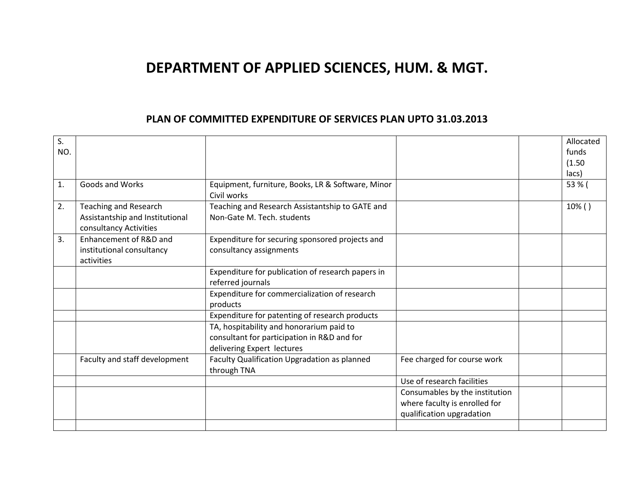## **DEPARTMENT OF APPLIED SCIENCES, HUM. & MGT.**

## **PLAN OF COMMITTED EXPENDITURE OF SERVICES PLAN UPTO 31.03.2013**

| S.             |                                 |                                                                  |                                | Allocated |
|----------------|---------------------------------|------------------------------------------------------------------|--------------------------------|-----------|
| NO.            |                                 |                                                                  |                                | funds     |
|                |                                 |                                                                  |                                | (1.50)    |
|                |                                 |                                                                  |                                | lacs)     |
| $\mathbf{1}$ . | <b>Goods and Works</b>          | Equipment, furniture, Books, LR & Software, Minor<br>Civil works |                                | 53 % (    |
|                |                                 |                                                                  |                                |           |
| 2.             | <b>Teaching and Research</b>    | Teaching and Research Assistantship to GATE and                  |                                | 10%()     |
|                | Assistantship and Institutional | Non-Gate M. Tech. students                                       |                                |           |
|                | consultancy Activities          |                                                                  |                                |           |
| 3.             | Enhancement of R&D and          | Expenditure for securing sponsored projects and                  |                                |           |
|                | institutional consultancy       | consultancy assignments                                          |                                |           |
|                | activities                      |                                                                  |                                |           |
|                |                                 | Expenditure for publication of research papers in                |                                |           |
|                |                                 | referred journals                                                |                                |           |
|                |                                 | Expenditure for commercialization of research                    |                                |           |
|                |                                 | products                                                         |                                |           |
|                |                                 | Expenditure for patenting of research products                   |                                |           |
|                |                                 | TA, hospitability and honorarium paid to                         |                                |           |
|                |                                 | consultant for participation in R&D and for                      |                                |           |
|                |                                 | delivering Expert lectures                                       |                                |           |
|                | Faculty and staff development   | Faculty Qualification Upgradation as planned                     | Fee charged for course work    |           |
|                |                                 | through TNA                                                      |                                |           |
|                |                                 |                                                                  | Use of research facilities     |           |
|                |                                 |                                                                  | Consumables by the institution |           |
|                |                                 |                                                                  | where faculty is enrolled for  |           |
|                |                                 |                                                                  | qualification upgradation      |           |
|                |                                 |                                                                  |                                |           |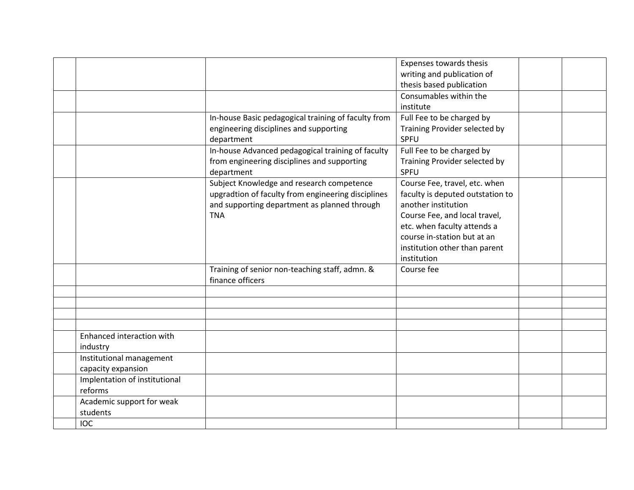|                               |                                                                                                 | Expenses towards thesis                                           |  |
|-------------------------------|-------------------------------------------------------------------------------------------------|-------------------------------------------------------------------|--|
|                               |                                                                                                 | writing and publication of                                        |  |
|                               |                                                                                                 | thesis based publication                                          |  |
|                               |                                                                                                 | Consumables within the                                            |  |
|                               |                                                                                                 | institute                                                         |  |
|                               | In-house Basic pedagogical training of faculty from                                             | Full Fee to be charged by                                         |  |
|                               | engineering disciplines and supporting                                                          | Training Provider selected by                                     |  |
|                               | department                                                                                      | SPFU                                                              |  |
|                               | In-house Advanced pedagogical training of faculty                                               | Full Fee to be charged by                                         |  |
|                               | from engineering disciplines and supporting                                                     | Training Provider selected by                                     |  |
|                               | department                                                                                      | SPFU                                                              |  |
|                               | Subject Knowledge and research competence<br>upgradtion of faculty from engineering disciplines | Course Fee, travel, etc. when<br>faculty is deputed outstation to |  |
|                               | and supporting department as planned through                                                    | another institution                                               |  |
|                               | <b>TNA</b>                                                                                      | Course Fee, and local travel,                                     |  |
|                               |                                                                                                 | etc. when faculty attends a                                       |  |
|                               |                                                                                                 | course in-station but at an                                       |  |
|                               |                                                                                                 | institution other than parent                                     |  |
|                               |                                                                                                 | institution                                                       |  |
|                               | Training of senior non-teaching staff, admn. &                                                  | Course fee                                                        |  |
|                               | finance officers                                                                                |                                                                   |  |
|                               |                                                                                                 |                                                                   |  |
|                               |                                                                                                 |                                                                   |  |
|                               |                                                                                                 |                                                                   |  |
|                               |                                                                                                 |                                                                   |  |
| Enhanced interaction with     |                                                                                                 |                                                                   |  |
| industry                      |                                                                                                 |                                                                   |  |
| Institutional management      |                                                                                                 |                                                                   |  |
| capacity expansion            |                                                                                                 |                                                                   |  |
| Implentation of institutional |                                                                                                 |                                                                   |  |
| reforms                       |                                                                                                 |                                                                   |  |
| Academic support for weak     |                                                                                                 |                                                                   |  |
| students                      |                                                                                                 |                                                                   |  |
| <b>IOC</b>                    |                                                                                                 |                                                                   |  |